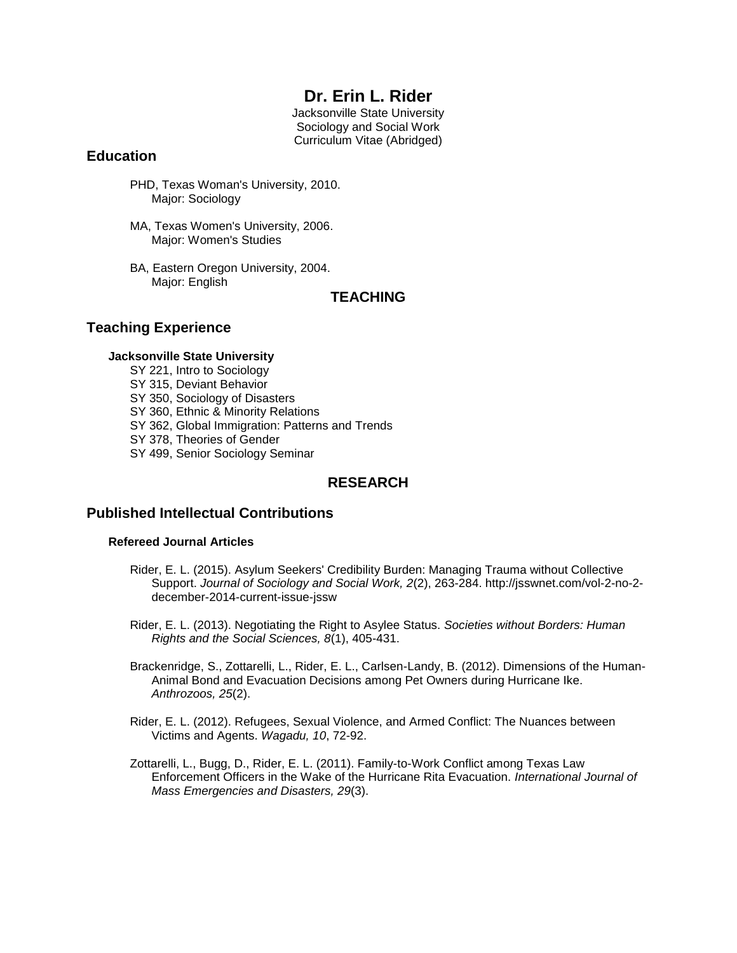# **Dr. Erin L. Rider**

Jacksonville State University Sociology and Social Work Curriculum Vitae (Abridged)

## **Education**

- PHD, Texas Woman's University, 2010. Major: Sociology
- MA, Texas Women's University, 2006. Major: Women's Studies
- BA, Eastern Oregon University, 2004. Major: English

## **TEACHING**

## **Teaching Experience**

### **Jacksonville State University**

- SY 221, Intro to Sociology
- SY 315, Deviant Behavior
- SY 350, Sociology of Disasters
- SY 360, Ethnic & Minority Relations
- SY 362, Global Immigration: Patterns and Trends
- SY 378, Theories of Gender
- SY 499, Senior Sociology Seminar

## **RESEARCH**

## **Published Intellectual Contributions**

### **Refereed Journal Articles**

- Rider, E. L. (2015). Asylum Seekers' Credibility Burden: Managing Trauma without Collective Support. *Journal of Sociology and Social Work, 2*(2), 263-284. http://jsswnet.com/vol-2-no-2 december-2014-current-issue-jssw
- Rider, E. L. (2013). Negotiating the Right to Asylee Status. *Societies without Borders: Human Rights and the Social Sciences, 8*(1), 405-431.
- Brackenridge, S., Zottarelli, L., Rider, E. L., Carlsen-Landy, B. (2012). Dimensions of the Human-Animal Bond and Evacuation Decisions among Pet Owners during Hurricane Ike. *Anthrozoos, 25*(2).
- Rider, E. L. (2012). Refugees, Sexual Violence, and Armed Conflict: The Nuances between Victims and Agents. *Wagadu, 10*, 72-92.
- Zottarelli, L., Bugg, D., Rider, E. L. (2011). Family-to-Work Conflict among Texas Law Enforcement Officers in the Wake of the Hurricane Rita Evacuation. *International Journal of Mass Emergencies and Disasters, 29*(3).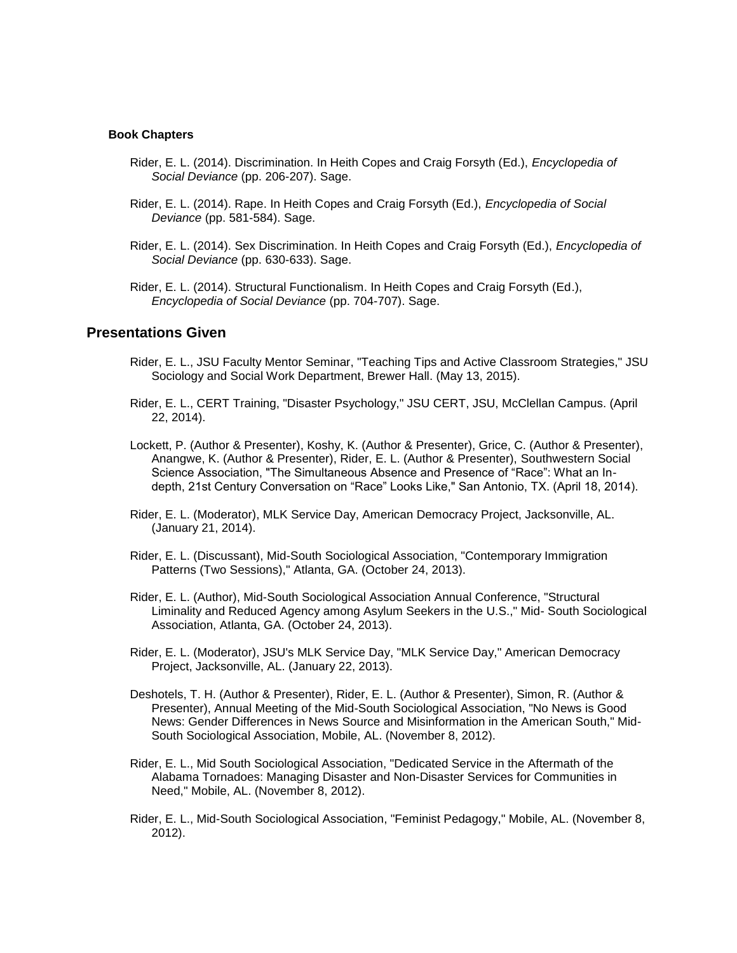#### **Book Chapters**

- Rider, E. L. (2014). Discrimination. In Heith Copes and Craig Forsyth (Ed.), *Encyclopedia of Social Deviance* (pp. 206-207). Sage.
- Rider, E. L. (2014). Rape. In Heith Copes and Craig Forsyth (Ed.), *Encyclopedia of Social Deviance* (pp. 581-584). Sage.
- Rider, E. L. (2014). Sex Discrimination. In Heith Copes and Craig Forsyth (Ed.), *Encyclopedia of Social Deviance* (pp. 630-633). Sage.
- Rider, E. L. (2014). Structural Functionalism. In Heith Copes and Craig Forsyth (Ed.), *Encyclopedia of Social Deviance* (pp. 704-707). Sage.

### **Presentations Given**

- Rider, E. L., JSU Faculty Mentor Seminar, "Teaching Tips and Active Classroom Strategies," JSU Sociology and Social Work Department, Brewer Hall. (May 13, 2015).
- Rider, E. L., CERT Training, "Disaster Psychology," JSU CERT, JSU, McClellan Campus. (April 22, 2014).
- Lockett, P. (Author & Presenter), Koshy, K. (Author & Presenter), Grice, C. (Author & Presenter), Anangwe, K. (Author & Presenter), Rider, E. L. (Author & Presenter), Southwestern Social Science Association, "The Simultaneous Absence and Presence of "Race": What an Indepth, 21st Century Conversation on "Race" Looks Like," San Antonio, TX. (April 18, 2014).
- Rider, E. L. (Moderator), MLK Service Day, American Democracy Project, Jacksonville, AL. (January 21, 2014).
- Rider, E. L. (Discussant), Mid-South Sociological Association, "Contemporary Immigration Patterns (Two Sessions)," Atlanta, GA. (October 24, 2013).
- Rider, E. L. (Author), Mid-South Sociological Association Annual Conference, "Structural Liminality and Reduced Agency among Asylum Seekers in the U.S.," Mid- South Sociological Association, Atlanta, GA. (October 24, 2013).
- Rider, E. L. (Moderator), JSU's MLK Service Day, "MLK Service Day," American Democracy Project, Jacksonville, AL. (January 22, 2013).
- Deshotels, T. H. (Author & Presenter), Rider, E. L. (Author & Presenter), Simon, R. (Author & Presenter), Annual Meeting of the Mid-South Sociological Association, "No News is Good News: Gender Differences in News Source and Misinformation in the American South," Mid-South Sociological Association, Mobile, AL. (November 8, 2012).
- Rider, E. L., Mid South Sociological Association, "Dedicated Service in the Aftermath of the Alabama Tornadoes: Managing Disaster and Non-Disaster Services for Communities in Need," Mobile, AL. (November 8, 2012).
- Rider, E. L., Mid-South Sociological Association, "Feminist Pedagogy," Mobile, AL. (November 8, 2012).